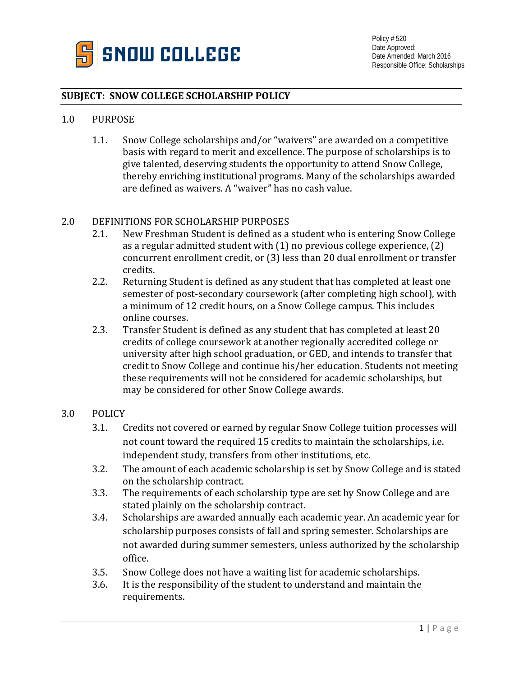

## **SUBJECT: SNOW COLLEGE SCHOLARSHIP POLICY**

### 1.0 PURPOSE

1.1. Snow College scholarships and/or "waivers" are awarded on a competitive basis with regard to merit and excellence. The purpose of scholarships is to give talented, deserving students the opportunity to attend Snow College, thereby enriching institutional programs. Many of the scholarships awarded are defined as waivers. A "waiver" has no cash value.

# 2.0 DEFINITIONS FOR SCHOLARSHIP PURPOSES<br>2.1. New Freshman Student is defined as a

- New Freshman Student is defined as a student who is entering Snow College as a regular admitted student with (1) no previous college experience, (2) concurrent enrollment credit, or (3) less than 20 dual enrollment or transfer credits.
- 2.2. Returning Student is defined as any student that has completed at least one semester of post-secondary coursework (after completing high school), with a minimum of 12 credit hours, on a Snow College campus. This includes online courses.
- 2.3. Transfer Student is defined as any student that has completed at least 20 credits of college coursework at another regionally accredited college or university after high school graduation, or GED, and intends to transfer that credit to Snow College and continue his/her education. Students not meeting these requirements will not be considered for academic scholarships, but may be considered for other Snow College awards.

### 3.0 POLICY

- 3.1. Credits not covered or earned by regular Snow College tuition processes will not count toward the required 15 credits to maintain the scholarships, i.e. independent study, transfers from other institutions, etc.
- 3.2. The amount of each academic scholarship is set by Snow College and is stated on the scholarship contract.
- 3.3. The requirements of each scholarship type are set by Snow College and are stated plainly on the scholarship contract.
- 3.4. Scholarships are awarded annually each academic year. An academic year for scholarship purposes consists of fall and spring semester. Scholarships are not awarded during summer semesters, unless authorized by the scholarship office.
- 3.5. Snow College does not have a waiting list for academic scholarships.<br>3.6. It is the responsibility of the student to understand and maintain the
- It is the responsibility of the student to understand and maintain the requirements.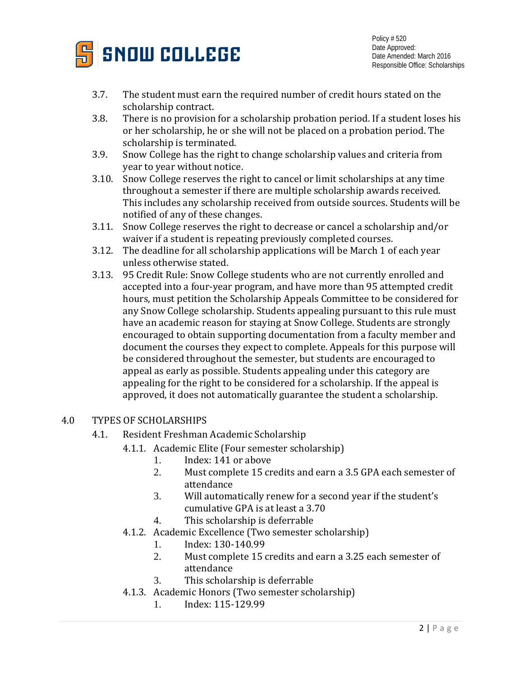

- 3.7. The student must earn the required number of credit hours stated on the scholarship contract.
- 3.8. There is no provision for a scholarship probation period. If a student loses his or her scholarship, he or she will not be placed on a probation period. The scholarship is terminated.
- 3.9. Snow College has the right to change scholarship values and criteria from year to year without notice.
- 3.10. Snow College reserves the right to cancel or limit scholarships at any time throughout a semester if there are multiple scholarship awards received. This includes any scholarship received from outside sources. Students will be notified of any of these changes.
- 3.11. Snow College reserves the right to decrease or cancel a scholarship and/or waiver if a student is repeating previously completed courses.
- 3.12. The deadline for all scholarship applications will be March 1 of each year unless otherwise stated.
- 3.13. 95 Credit Rule: Snow College students who are not currently enrolled and accepted into a four-year program, and have more than 95 attempted credit hours, must petition the Scholarship Appeals Committee to be considered for any Snow College scholarship. Students appealing pursuant to this rule must have an academic reason for staying at Snow College. Students are strongly encouraged to obtain supporting documentation from a faculty member and document the courses they expect to complete. Appeals for this purpose will be considered throughout the semester, but students are encouraged to appeal as early as possible. Students appealing under this category are appealing for the right to be considered for a scholarship. If the appeal is approved, it does not automatically guarantee the student a scholarship.

# 4.0 TYPES OF SCHOLARSHIPS

- 4.1. Resident Freshman Academic Scholarship
	- 4.1.1. Academic Elite (Four semester scholarship)<br>1. Index: 141 or above
		- 1. Index: 141 or above<br>2. Must complete 15 cr
		- Must complete 15 credits and earn a 3.5 GPA each semester of attendance
		- 3. Will automatically renew for a second year if the student's cumulative GPA is at least a 3.70
		- 4. This scholarship is deferrable
	- 4.1.2. Academic Excellence (Two semester scholarship)<br>1. Index: 130-140.99
		- 1. Index: 130-140.99<br>2. Must complete 15
		- Must complete 15 credits and earn a 3.25 each semester of attendance
		- 3. This scholarship is deferrable
	- 4.1.3. Academic Honors (Two semester scholarship)<br>1. Index: 115-129.99
		- 1. Index: 115-129.99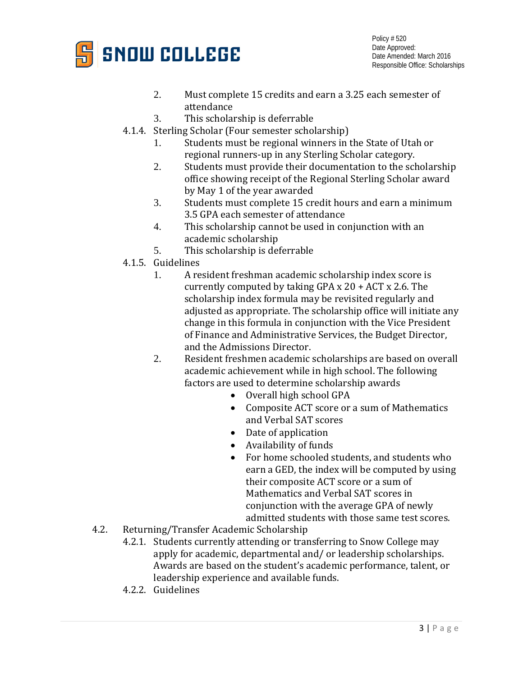

- 2. Must complete 15 credits and earn a 3.25 each semester of attendance
- 3. This scholarship is deferrable
- 4.1.4. Sterling Scholar (Four semester scholarship)<br>1. Students must be regional winners in
	- Students must be regional winners in the State of Utah or regional runners-up in any Sterling Scholar category.
	- 2. Students must provide their documentation to the scholarship office showing receipt of the Regional Sterling Scholar award by May 1 of the year awarded
	- 3. Students must complete 15 credit hours and earn a minimum 3.5 GPA each semester of attendance
	- 4. This scholarship cannot be used in conjunction with an academic scholarship
	- 5. This scholarship is deferrable
- 4.1.5. Guidelines
	- 1. A resident freshman academic scholarship index score is currently computed by taking GPA x 20 + ACT x 2.6. The scholarship index formula may be revisited regularly and adjusted as appropriate. The scholarship office will initiate any change in this formula in conjunction with the Vice President of Finance and Administrative Services, the Budget Director, and the Admissions Director.
	- 2. Resident freshmen academic scholarships are based on overall academic achievement while in high school. The following factors are used to determine scholarship awards
		- Overall high school GPA
		- Composite ACT score or a sum of Mathematics and Verbal SAT scores
		- Date of application
		- Availability of funds
		- For home schooled students, and students who earn a GED, the index will be computed by using their composite ACT score or a sum of Mathematics and Verbal SAT scores in conjunction with the average GPA of newly admitted students with those same test scores.
- 4.2. Returning/Transfer Academic Scholarship
	- 4.2.1. Students currently attending or transferring to Snow College may apply for academic, departmental and/ or leadership scholarships. Awards are based on the student's academic performance, talent, or leadership experience and available funds.
	- 4.2.2. Guidelines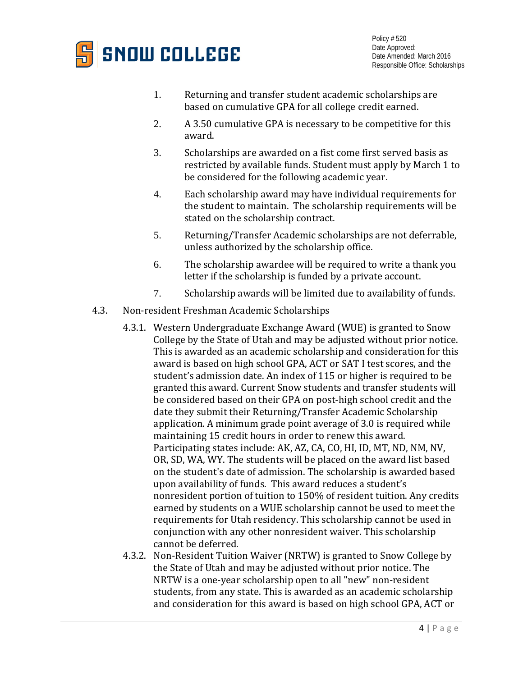

- 1. Returning and transfer student academic scholarships are based on cumulative GPA for all college credit earned.
- 2. A 3.50 cumulative GPA is necessary to be competitive for this award.
- 3. Scholarships are awarded on a fist come first served basis as restricted by available funds. Student must apply by March 1 to be considered for the following academic year.
- 4. Each scholarship award may have individual requirements for the student to maintain. The scholarship requirements will be stated on the scholarship contract.
- 5. Returning/Transfer Academic scholarships are not deferrable, unless authorized by the scholarship office.
- 6. The scholarship awardee will be required to write a thank you letter if the scholarship is funded by a private account.
- 7. Scholarship awards will be limited due to availability of funds.
- 4.3. Non-resident Freshman Academic Scholarships
	- 4.3.1. Western Undergraduate Exchange Award (WUE) is granted to Snow College by the State of Utah and may be adjusted without prior notice. This is awarded as an academic scholarship and consideration for this award is based on high school GPA, ACT or SAT I test scores, and the student's admission date. An index of 115 or higher is required to be granted this award. Current Snow students and transfer students will be considered based on their GPA on post-high school credit and the date they submit their Returning/Transfer Academic Scholarship application. A minimum grade point average of 3.0 is required while maintaining 15 credit hours in order to renew this award. Participating states include: AK, AZ, CA, CO, HI, ID, MT, ND, NM, NV, OR, SD, WA, WY. The students will be placed on the award list based on the student's date of admission. The scholarship is awarded based upon availability of funds. This award reduces a student's nonresident portion of tuition to 150% of resident tuition. Any credits earned by students on a WUE scholarship cannot be used to meet the requirements for Utah residency. This scholarship cannot be used in conjunction with any other nonresident waiver. This scholarship cannot be deferred.
	- 4.3.2. Non-Resident Tuition Waiver (NRTW) is granted to Snow College by the State of Utah and may be adjusted without prior notice. The NRTW is a one-year scholarship open to all "new" non-resident students, from any state. This is awarded as an academic scholarship and consideration for this award is based on high school GPA, ACT or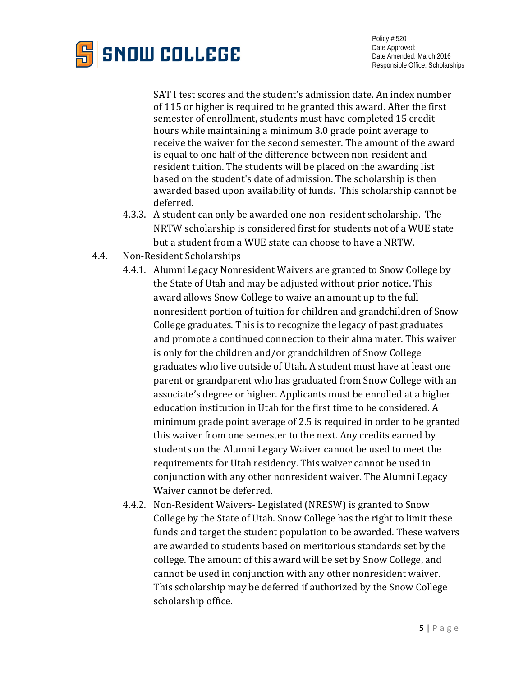

SAT I test scores and the student's admission date. An index number of 115 or higher is required to be granted this award. After the first semester of enrollment, students must have completed 15 credit hours while maintaining a minimum 3.0 grade point average to receive the waiver for the second semester. The amount of the award is equal to one half of the difference between non-resident and resident tuition. The students will be placed on the awarding list based on the student's date of admission. The scholarship is then awarded based upon availability of funds. This scholarship cannot be deferred.

- 4.3.3. A student can only be awarded one non-resident scholarship. The NRTW scholarship is considered first for students not of a WUE state but a student from a WUE state can choose to have a NRTW.
- 4.4. Non-Resident Scholarships
	- 4.4.1. Alumni Legacy Nonresident Waivers are granted to Snow College by the State of Utah and may be adjusted without prior notice. This award allows Snow College to waive an amount up to the full nonresident portion of tuition for children and grandchildren of Snow College graduates. This is to recognize the legacy of past graduates and promote a continued connection to their alma mater. This waiver is only for the children and/or grandchildren of Snow College graduates who live outside of Utah. A student must have at least one parent or grandparent who has graduated from Snow College with an associate's degree or higher. Applicants must be enrolled at a higher education institution in Utah for the first time to be considered. A minimum grade point average of 2.5 is required in order to be granted this waiver from one semester to the next. Any credits earned by students on the Alumni Legacy Waiver cannot be used to meet the requirements for Utah residency. This waiver cannot be used in conjunction with any other nonresident waiver. The Alumni Legacy Waiver cannot be deferred.
	- 4.4.2. Non-Resident Waivers- Legislated (NRESW) is granted to Snow College by the State of Utah. Snow College has the right to limit these funds and target the student population to be awarded. These waivers are awarded to students based on meritorious standards set by the college. The amount of this award will be set by Snow College, and cannot be used in conjunction with any other nonresident waiver. This scholarship may be deferred if authorized by the Snow College scholarship office.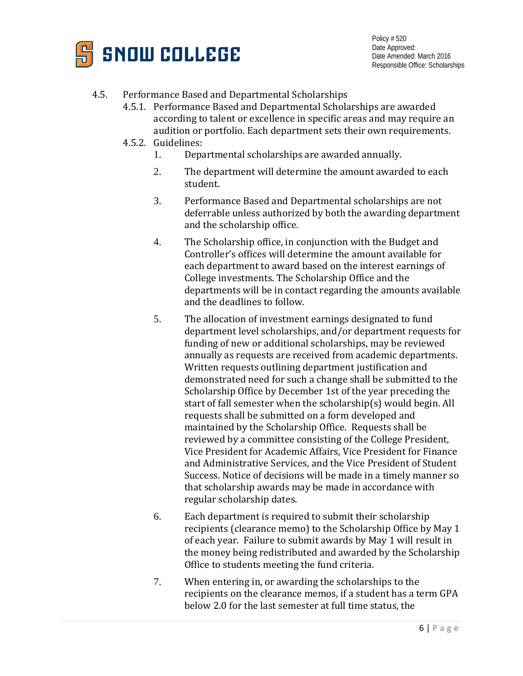

# 4.5. Performance Based and Departmental Scholarships

- 4.5.1. Performance Based and Departmental Scholarships are awarded according to talent or excellence in specific areas and may require an audition or portfolio. Each department sets their own requirements.
- 4.5.2. Guidelines:
	- 1. Departmental scholarships are awarded annually.
	- 2. The department will determine the amount awarded to each student.
	- 3. Performance Based and Departmental scholarships are not deferrable unless authorized by both the awarding department and the scholarship office.
	- 4. The Scholarship office, in conjunction with the Budget and Controller's offices will determine the amount available for each department to award based on the interest earnings of College investments. The Scholarship Office and the departments will be in contact regarding the amounts available and the deadlines to follow.
	- 5. The allocation of investment earnings designated to fund department level scholarships, and/or department requests for funding of new or additional scholarships, may be reviewed annually as requests are received from academic departments. Written requests outlining department justification and demonstrated need for such a change shall be submitted to the Scholarship Office by December 1st of the year preceding the start of fall semester when the scholarship(s) would begin. All requests shall be submitted on a form developed and maintained by the Scholarship Office. Requests shall be reviewed by a committee consisting of the College President, Vice President for Academic Affairs, Vice President for Finance and Administrative Services, and the Vice President of Student Success. Notice of decisions will be made in a timely manner so that scholarship awards may be made in accordance with regular scholarship dates.
	- 6. Each department is required to submit their scholarship recipients (clearance memo) to the Scholarship Office by May 1 of each year. Failure to submit awards by May 1 will result in the money being redistributed and awarded by the Scholarship Office to students meeting the fund criteria.
	- 7. When entering in, or awarding the scholarships to the recipients on the clearance memos, if a student has a term GPA below 2.0 for the last semester at full time status, the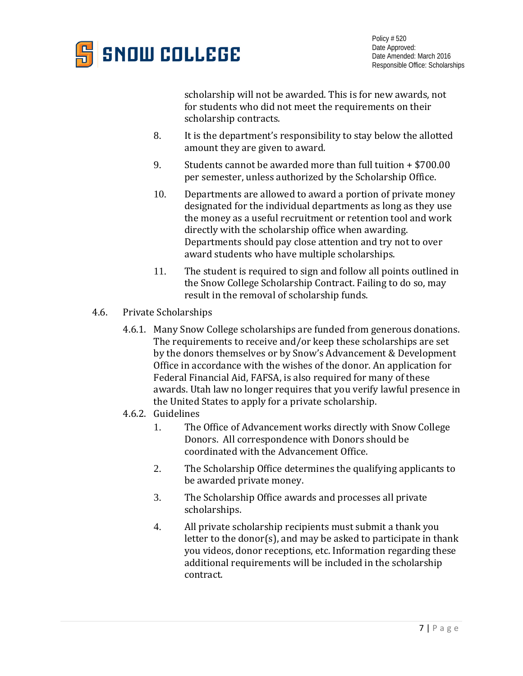

scholarship will not be awarded. This is for new awards, not for students who did not meet the requirements on their scholarship contracts.

- 8. It is the department's responsibility to stay below the allotted amount they are given to award.
- 9. Students cannot be awarded more than full tuition + \$700.00 per semester, unless authorized by the Scholarship Office.
- 10. Departments are allowed to award a portion of private money designated for the individual departments as long as they use the money as a useful recruitment or retention tool and work directly with the scholarship office when awarding. Departments should pay close attention and try not to over award students who have multiple scholarships.
- 11. The student is required to sign and follow all points outlined in the Snow College Scholarship Contract. Failing to do so, may result in the removal of scholarship funds.
- 4.6. Private Scholarships
	- 4.6.1. Many Snow College scholarships are funded from generous donations. The requirements to receive and/or keep these scholarships are set by the donors themselves or by Snow's Advancement & Development Office in accordance with the wishes of the donor. An application for Federal Financial Aid, FAFSA, is also required for many of these awards. Utah law no longer requires that you verify lawful presence in the United States to apply for a private scholarship.
	- 4.6.2. Guidelines
		- 1. The Office of Advancement works directly with Snow College Donors. All correspondence with Donors should be coordinated with the Advancement Office.
		- 2. The Scholarship Office determines the qualifying applicants to be awarded private money.
		- 3. The Scholarship Office awards and processes all private scholarships.
		- 4. All private scholarship recipients must submit a thank you letter to the donor(s), and may be asked to participate in thank you videos, donor receptions, etc. Information regarding these additional requirements will be included in the scholarship contract.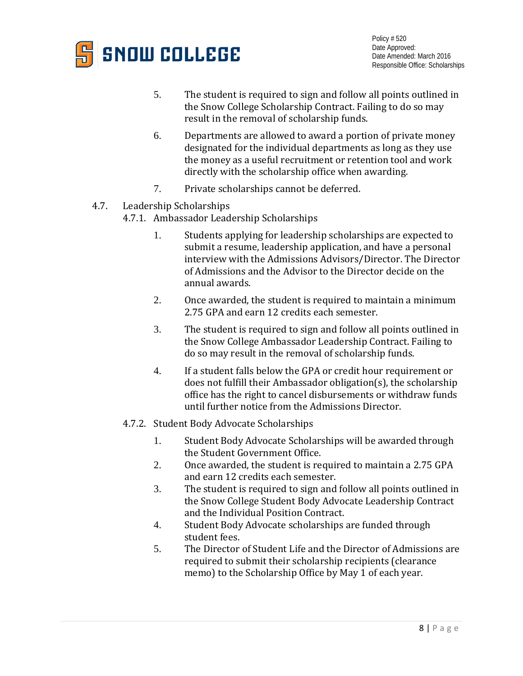

- 5. The student is required to sign and follow all points outlined in the Snow College Scholarship Contract. Failing to do so may result in the removal of scholarship funds.
- 6. Departments are allowed to award a portion of private money designated for the individual departments as long as they use the money as a useful recruitment or retention tool and work directly with the scholarship office when awarding.
- 7. Private scholarships cannot be deferred.
- 4.7. Leadership Scholarships
	- 4.7.1. Ambassador Leadership Scholarships
		- 1. Students applying for leadership scholarships are expected to submit a resume, leadership application, and have a personal interview with the Admissions Advisors/Director. The Director of Admissions and the Advisor to the Director decide on the annual awards.
		- 2. Once awarded, the student is required to maintain a minimum 2.75 GPA and earn 12 credits each semester.
		- 3. The student is required to sign and follow all points outlined in the Snow College Ambassador Leadership Contract. Failing to do so may result in the removal of scholarship funds.
		- 4. If a student falls below the GPA or credit hour requirement or does not fulfill their Ambassador obligation(s), the scholarship office has the right to cancel disbursements or withdraw funds until further notice from the Admissions Director.
	- 4.7.2. Student Body Advocate Scholarships
		- 1. Student Body Advocate Scholarships will be awarded through the Student Government Office.
		- 2. Once awarded, the student is required to maintain a 2.75 GPA and earn 12 credits each semester.
		- 3. The student is required to sign and follow all points outlined in the Snow College Student Body Advocate Leadership Contract and the Individual Position Contract.
		- 4. Student Body Advocate scholarships are funded through student fees.
		- 5. The Director of Student Life and the Director of Admissions are required to submit their scholarship recipients (clearance memo) to the Scholarship Office by May 1 of each year.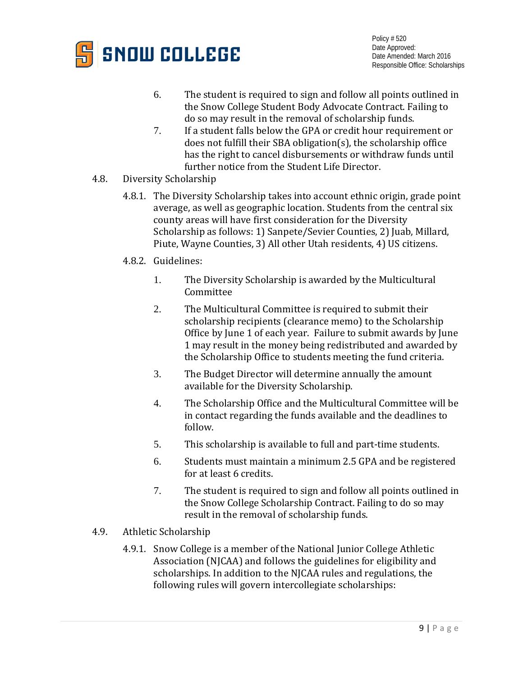

- 6. The student is required to sign and follow all points outlined in the Snow College Student Body Advocate Contract. Failing to do so may result in the removal of scholarship funds.
- 7. If a student falls below the GPA or credit hour requirement or does not fulfill their SBA obligation(s), the scholarship office has the right to cancel disbursements or withdraw funds until further notice from the Student Life Director.
- 4.8. Diversity Scholarship
	- 4.8.1. The Diversity Scholarship takes into account ethnic origin, grade point average, as well as geographic location. Students from the central six county areas will have first consideration for the Diversity Scholarship as follows: 1) Sanpete/Sevier Counties, 2) Juab, Millard, Piute, Wayne Counties, 3) All other Utah residents, 4) US citizens.
	- 4.8.2. Guidelines:
		- 1. The Diversity Scholarship is awarded by the Multicultural Committee
		- 2. The Multicultural Committee is required to submit their scholarship recipients (clearance memo) to the Scholarship Office by June 1 of each year. Failure to submit awards by June 1 may result in the money being redistributed and awarded by the Scholarship Office to students meeting the fund criteria.
		- 3. The Budget Director will determine annually the amount available for the Diversity Scholarship.
		- 4. The Scholarship Office and the Multicultural Committee will be in contact regarding the funds available and the deadlines to follow.
		- 5. This scholarship is available to full and part-time students.
		- 6. Students must maintain a minimum 2.5 GPA and be registered for at least 6 credits.
		- 7. The student is required to sign and follow all points outlined in the Snow College Scholarship Contract. Failing to do so may result in the removal of scholarship funds.
- 4.9. Athletic Scholarship
	- 4.9.1. Snow College is a member of the National Junior College Athletic Association (NJCAA) and follows the guidelines for eligibility and scholarships. In addition to the NJCAA rules and regulations, the following rules will govern intercollegiate scholarships: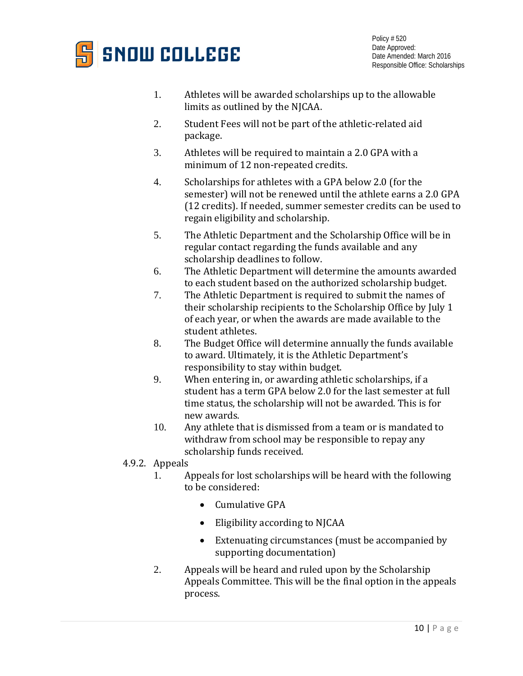

- 1. Athletes will be awarded scholarships up to the allowable limits as outlined by the NJCAA.
- 2. Student Fees will not be part of the athletic-related aid package.
- 3. Athletes will be required to maintain a 2.0 GPA with a minimum of 12 non-repeated credits.
- 4. Scholarships for athletes with a GPA below 2.0 (for the semester) will not be renewed until the athlete earns a 2.0 GPA (12 credits). If needed, summer semester credits can be used to regain eligibility and scholarship.
- 5. The Athletic Department and the Scholarship Office will be in regular contact regarding the funds available and any scholarship deadlines to follow.
- 6. The Athletic Department will determine the amounts awarded to each student based on the authorized scholarship budget.
- 7. The Athletic Department is required to submit the names of their scholarship recipients to the Scholarship Office by July 1 of each year, or when the awards are made available to the student athletes.
- 8. The Budget Office will determine annually the funds available to award. Ultimately, it is the Athletic Department's responsibility to stay within budget.
- 9. When entering in, or awarding athletic scholarships, if a student has a term GPA below 2.0 for the last semester at full time status, the scholarship will not be awarded. This is for new awards.
- 10. Any athlete that is dismissed from a team or is mandated to withdraw from school may be responsible to repay any scholarship funds received.

# 4.9.2. Appeals<br>1. A

- 1. Appeals for lost scholarships will be heard with the following to be considered:
	- Cumulative GPA
	- Eligibility according to NJCAA
	- Extenuating circumstances (must be accompanied by supporting documentation)
- 2. Appeals will be heard and ruled upon by the Scholarship Appeals Committee. This will be the final option in the appeals process.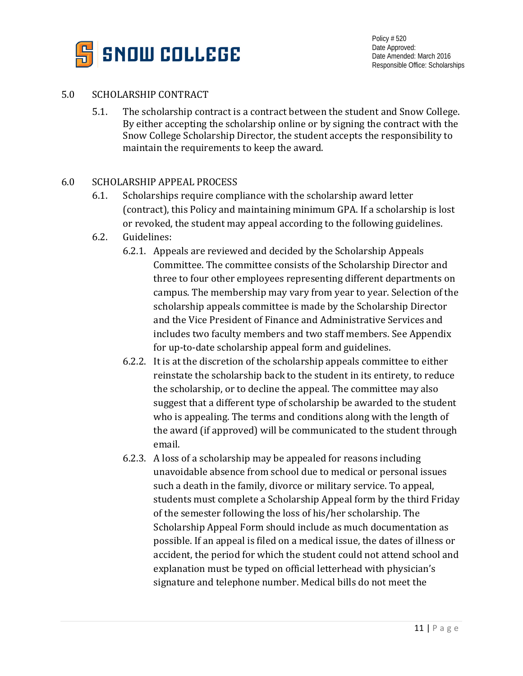

## 5.0 SCHOLARSHIP CONTRACT

5.1. The scholarship contract is a contract between the student and Snow College. By either accepting the scholarship online or by signing the contract with the Snow College Scholarship Director, the student accepts the responsibility to maintain the requirements to keep the award.

## 6.0 SCHOLARSHIP APPEAL PROCESS

- 6.1. Scholarships require compliance with the scholarship award letter (contract), this Policy and maintaining minimum GPA. If a scholarship is lost or revoked, the student may appeal according to the following guidelines.
- 6.2. Guidelines:
	- 6.2.1. Appeals are reviewed and decided by the Scholarship Appeals Committee. The committee consists of the Scholarship Director and three to four other employees representing different departments on campus. The membership may vary from year to year. Selection of the scholarship appeals committee is made by the Scholarship Director and the Vice President of Finance and Administrative Services and includes two faculty members and two staff members. See Appendix for up-to-date scholarship appeal form and guidelines.
	- 6.2.2. It is at the discretion of the scholarship appeals committee to either reinstate the scholarship back to the student in its entirety, to reduce the scholarship, or to decline the appeal. The committee may also suggest that a different type of scholarship be awarded to the student who is appealing. The terms and conditions along with the length of the award (if approved) will be communicated to the student through email.
	- 6.2.3. A loss of a scholarship may be appealed for reasons including unavoidable absence from school due to medical or personal issues such a death in the family, divorce or military service. To appeal, students must complete a Scholarship Appeal form by the third Friday of the semester following the loss of his/her scholarship. The Scholarship Appeal Form should include as much documentation as possible. If an appeal is filed on a medical issue, the dates of illness or accident, the period for which the student could not attend school and explanation must be typed on official letterhead with physician's signature and telephone number. Medical bills do not meet the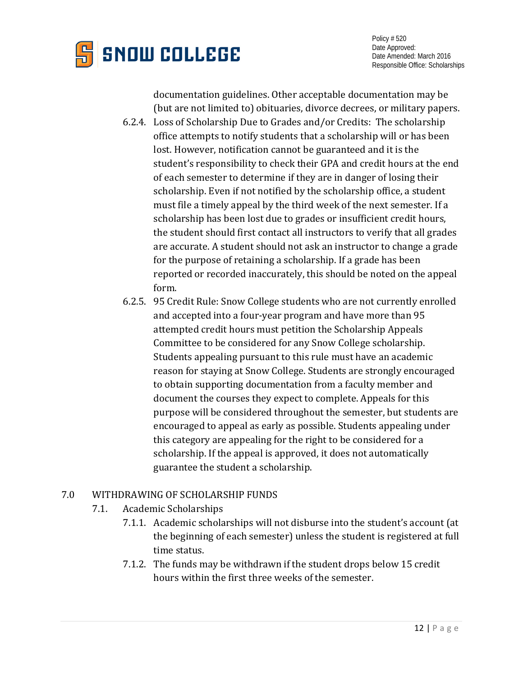

documentation guidelines. Other acceptable documentation may be (but are not limited to) obituaries, divorce decrees, or military papers.

- 6.2.4. Loss of Scholarship Due to Grades and/or Credits: The scholarship office attempts to notify students that a scholarship will or has been lost. However, notification cannot be guaranteed and it is the student's responsibility to check their GPA and credit hours at the end of each semester to determine if they are in danger of losing their scholarship. Even if not notified by the scholarship office, a student must file a timely appeal by the third week of the next semester. If a scholarship has been lost due to grades or insufficient credit hours, the student should first contact all instructors to verify that all grades are accurate. A student should not ask an instructor to change a grade for the purpose of retaining a scholarship. If a grade has been reported or recorded inaccurately, this should be noted on the appeal form.
- 6.2.5. 95 Credit Rule: Snow College students who are not currently enrolled and accepted into a four-year program and have more than 95 attempted credit hours must petition the Scholarship Appeals Committee to be considered for any Snow College scholarship. Students appealing pursuant to this rule must have an academic reason for staying at Snow College. Students are strongly encouraged to obtain supporting documentation from a faculty member and document the courses they expect to complete. Appeals for this purpose will be considered throughout the semester, but students are encouraged to appeal as early as possible. Students appealing under this category are appealing for the right to be considered for a scholarship. If the appeal is approved, it does not automatically guarantee the student a scholarship.

# 7.0 WITHDRAWING OF SCHOLARSHIP FUNDS

- 7.1. Academic Scholarships
	- 7.1.1. Academic scholarships will not disburse into the student's account (at the beginning of each semester) unless the student is registered at full time status.
	- 7.1.2. The funds may be withdrawn if the student drops below 15 credit hours within the first three weeks of the semester.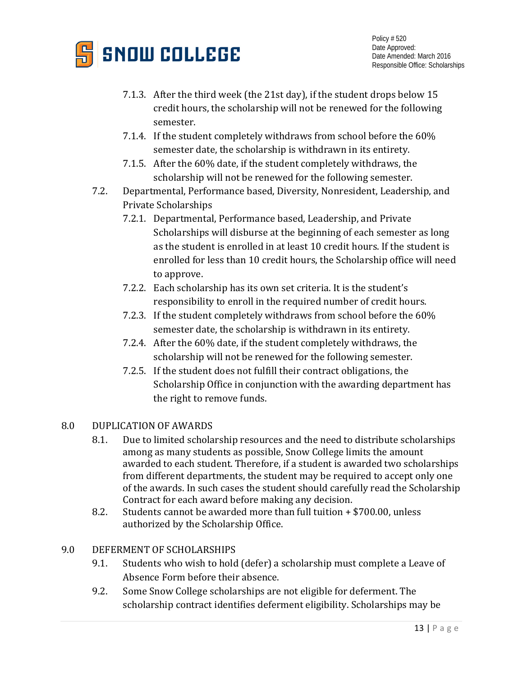

- 7.1.3. After the third week (the 21st day), if the student drops below 15 credit hours, the scholarship will not be renewed for the following semester.
- 7.1.4. If the student completely withdraws from school before the 60% semester date, the scholarship is withdrawn in its entirety.
- 7.1.5. After the 60% date, if the student completely withdraws, the scholarship will not be renewed for the following semester.
- 7.2. Departmental, Performance based, Diversity, Nonresident, Leadership, and Private Scholarships
	- 7.2.1. Departmental, Performance based, Leadership, and Private Scholarships will disburse at the beginning of each semester as long as the student is enrolled in at least 10 credit hours. If the student is enrolled for less than 10 credit hours, the Scholarship office will need to approve.
	- 7.2.2. Each scholarship has its own set criteria. It is the student's responsibility to enroll in the required number of credit hours.
	- 7.2.3. If the student completely withdraws from school before the 60% semester date, the scholarship is withdrawn in its entirety.
	- 7.2.4. After the 60% date, if the student completely withdraws, the scholarship will not be renewed for the following semester.
	- 7.2.5. If the student does not fulfill their contract obligations, the Scholarship Office in conjunction with the awarding department has the right to remove funds.

# 8.0 DUPLICATION OF AWARDS

- 8.1. Due to limited scholarship resources and the need to distribute scholarships among as many students as possible, Snow College limits the amount awarded to each student. Therefore, if a student is awarded two scholarships from different departments, the student may be required to accept only one of the awards. In such cases the student should carefully read the Scholarship Contract for each award before making any decision.
- 8.2. Students cannot be awarded more than full tuition + \$700.00, unless authorized by the Scholarship Office.

# 9.0 DEFERMENT OF SCHOLARSHIPS

- 9.1. Students who wish to hold (defer) a scholarship must complete a Leave of Absence Form before their absence.
- 9.2. Some Snow College scholarships are not eligible for deferment. The scholarship contract identifies deferment eligibility. Scholarships may be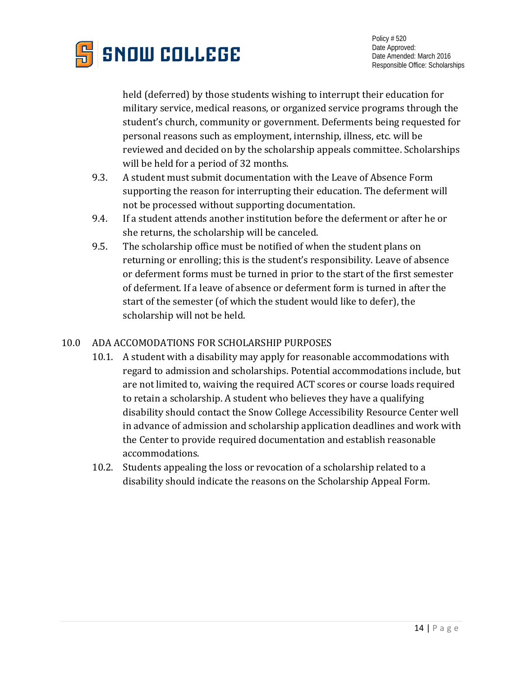

held (deferred) by those students wishing to interrupt their education for military service, medical reasons, or organized service programs through the student's church, community or government. Deferments being requested for personal reasons such as employment, internship, illness, etc. will be reviewed and decided on by the scholarship appeals committee. Scholarships will be held for a period of 32 months.

- 9.3. A student must submit documentation with the Leave of Absence Form supporting the reason for interrupting their education. The deferment will not be processed without supporting documentation.
- 9.4. If a student attends another institution before the deferment or after he or she returns, the scholarship will be canceled.
- 9.5. The scholarship office must be notified of when the student plans on returning or enrolling; this is the student's responsibility. Leave of absence or deferment forms must be turned in prior to the start of the first semester of deferment. If a leave of absence or deferment form is turned in after the start of the semester (of which the student would like to defer), the scholarship will not be held.

# 10.0 ADA ACCOMODATIONS FOR SCHOLARSHIP PURPOSES

- 10.1. A student with a disability may apply for reasonable accommodations with regard to admission and scholarships. Potential accommodations include, but are not limited to, waiving the required ACT scores or course loads required to retain a scholarship. A student who believes they have a qualifying disability should contact the Snow College Accessibility Resource Center well in advance of admission and scholarship application deadlines and work with the Center to provide required documentation and establish reasonable accommodations.
- 10.2. Students appealing the loss or revocation of a scholarship related to a disability should indicate the reasons on the Scholarship Appeal Form.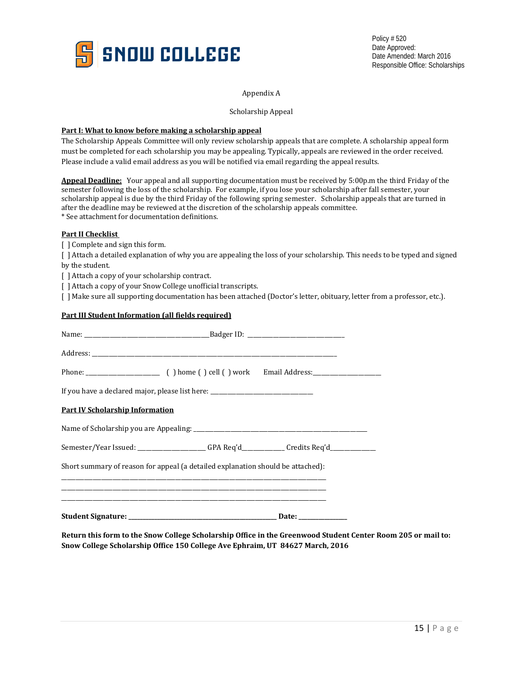

#### Appendix A

Scholarship Appeal

#### **Part I: What to know before making a scholarship appeal**

The Scholarship Appeals Committee will only review scholarship appeals that are complete. A scholarship appeal form must be completed for each scholarship you may be appealing. Typically, appeals are reviewed in the order received. Please include a valid email address as you will be notified via email regarding the appeal results.

**Appeal Deadline:** Your appeal and all supporting documentation must be received by 5:00p.m the third Friday of the semester following the loss of the scholarship. For example, if you lose your scholarship after fall semester, your scholarship appeal is due by the third Friday of the following spring semester. Scholarship appeals that are turned in after the deadline may be reviewed at the discretion of the scholarship appeals committee. \* See attachment for documentation definitions.

#### **Part II Checklist**

[ ] Complete and sign this form.

[ ] Attach a detailed explanation of why you are appealing the loss of your scholarship. This needs to be typed and signed by the student. The student of the students of  $\mathbf{b}$  is the student of  $\mathbf{b}$  is the student.

[ ] Attach a copy of your scholarship contract.

[ ] Attach a copy of your Snow College unofficial transcripts.

[ ] Make sure all supporting documentation has been attached (Doctor's letter, obituary, letter from a professor, etc.).

#### **Part III Student Information (all fields required)**

| Semester/Year Issued: Credits Req'd____________GPA Req'd_____________Credits Req'd_________________ |
|-----------------------------------------------------------------------------------------------------|
|                                                                                                     |
|                                                                                                     |
|                                                                                                     |
|                                                                                                     |

**Return this form to the Snow College Scholarship Office in the Greenwood Student Center Room 205 or mail to: Snow College Scholarship Office 150 College Ave Ephraim, UT 84627 March, 2016**